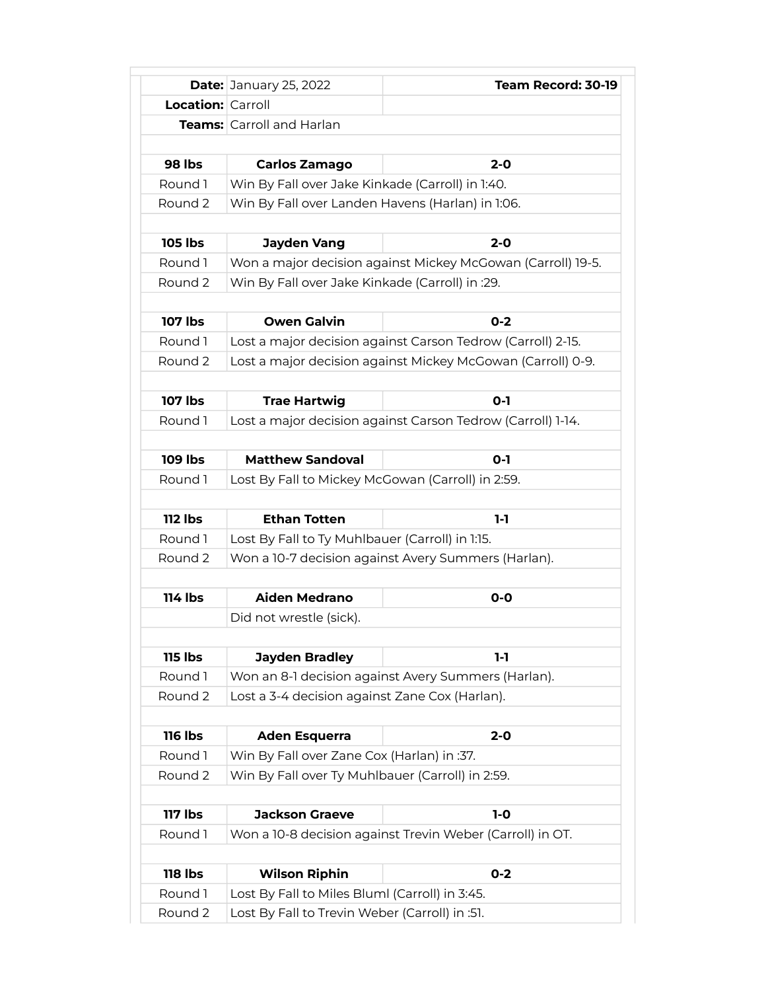|                          | <b>Date: January 25, 2022</b>                               | Team Record: 30-19                                          |  |
|--------------------------|-------------------------------------------------------------|-------------------------------------------------------------|--|
| <b>Location: Carroll</b> |                                                             |                                                             |  |
|                          | <b>Teams:</b> Carroll and Harlan                            |                                                             |  |
|                          |                                                             |                                                             |  |
| 98 lbs                   | <b>Carlos Zamago</b>                                        | $2 - 0$                                                     |  |
| Round 1                  | Win By Fall over Jake Kinkade (Carroll) in 1:40.            |                                                             |  |
| Round 2                  | Win By Fall over Landen Havens (Harlan) in 1:06.            |                                                             |  |
|                          |                                                             |                                                             |  |
| <b>105 lbs</b>           | <b>Jayden Vang</b>                                          | $2 - 0$                                                     |  |
| Round 1                  | Won a major decision against Mickey McGowan (Carroll) 19-5. |                                                             |  |
| Round 2                  | Win By Fall over Jake Kinkade (Carroll) in :29.             |                                                             |  |
|                          |                                                             |                                                             |  |
| 107 lbs                  | <b>Owen Galvin</b>                                          | $0 - 2$                                                     |  |
| Round 1                  | Lost a major decision against Carson Tedrow (Carroll) 2-15. |                                                             |  |
| Round 2                  | Lost a major decision against Mickey McGowan (Carroll) 0-9. |                                                             |  |
|                          |                                                             |                                                             |  |
| <b>107 lbs</b>           | <b>Trae Hartwig</b>                                         | $O-I$                                                       |  |
| Round 1                  |                                                             | Lost a major decision against Carson Tedrow (Carroll) 1-14. |  |
| <b>109 lbs</b>           | <b>Matthew Sandoval</b>                                     | $0 - 1$                                                     |  |
| Round 1                  | Lost By Fall to Mickey McGowan (Carroll) in 2:59.           |                                                             |  |
|                          |                                                             |                                                             |  |
| <b>112 lbs</b>           | <b>Ethan Totten</b>                                         | $1-1$                                                       |  |
| Round 1                  | Lost By Fall to Ty Muhlbauer (Carroll) in 1:15.             |                                                             |  |
| Round 2                  | Won a 10-7 decision against Avery Summers (Harlan).         |                                                             |  |
|                          |                                                             |                                                             |  |
| <b>114 lbs</b>           | <b>Aiden Medrano</b>                                        | $O-O$                                                       |  |
|                          | Did not wrestle (sick).                                     |                                                             |  |
|                          |                                                             |                                                             |  |
| <b>115 lbs</b>           | <b>Jayden Bradley</b>                                       | 1-1                                                         |  |
| Round 1                  | Won an 8-1 decision against Avery Summers (Harlan).         |                                                             |  |
| Round 2                  | Lost a 3-4 decision against Zane Cox (Harlan).              |                                                             |  |
|                          |                                                             |                                                             |  |
| <b>116 lbs</b>           | <b>Aden Esquerra</b>                                        | $2 - 0$                                                     |  |
| Round 1                  | Win By Fall over Zane Cox (Harlan) in :37.                  |                                                             |  |
| Round 2                  | Win By Fall over Ty Muhlbauer (Carroll) in 2:59.            |                                                             |  |
|                          |                                                             |                                                             |  |
| <b>117 lbs</b>           | <b>Jackson Graeve</b>                                       | $1-0$                                                       |  |
| Round 1                  |                                                             | Won a 10-8 decision against Trevin Weber (Carroll) in OT.   |  |
|                          |                                                             |                                                             |  |
| <b>118 lbs</b>           | <b>Wilson Riphin</b>                                        | $0 - 2$                                                     |  |
| Round 1                  | Lost By Fall to Miles Bluml (Carroll) in 3:45.              |                                                             |  |
| Round 2                  | Lost By Fall to Trevin Weber (Carroll) in :51.              |                                                             |  |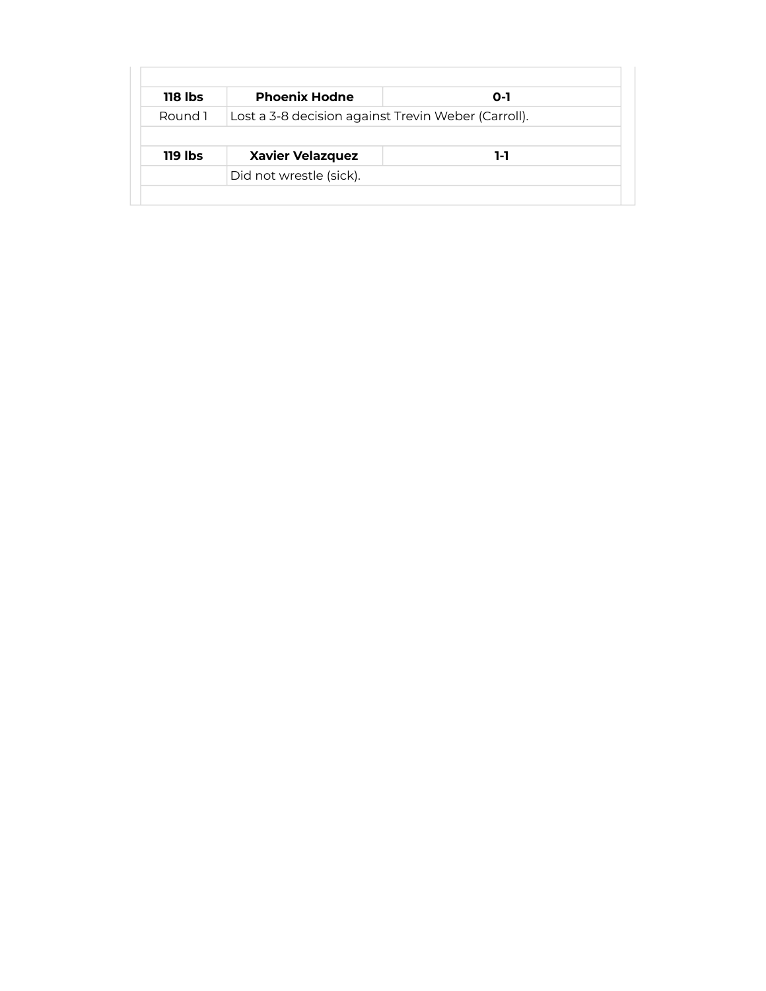| $118$ lbs | <b>Phoenix Hodne</b>                                | O-1 |
|-----------|-----------------------------------------------------|-----|
| Round 1   | Lost a 3-8 decision against Trevin Weber (Carroll). |     |
|           |                                                     |     |
|           |                                                     |     |
| 119 lbs   | <b>Xavier Velazquez</b><br>Did not wrestle (sick).  | 1-1 |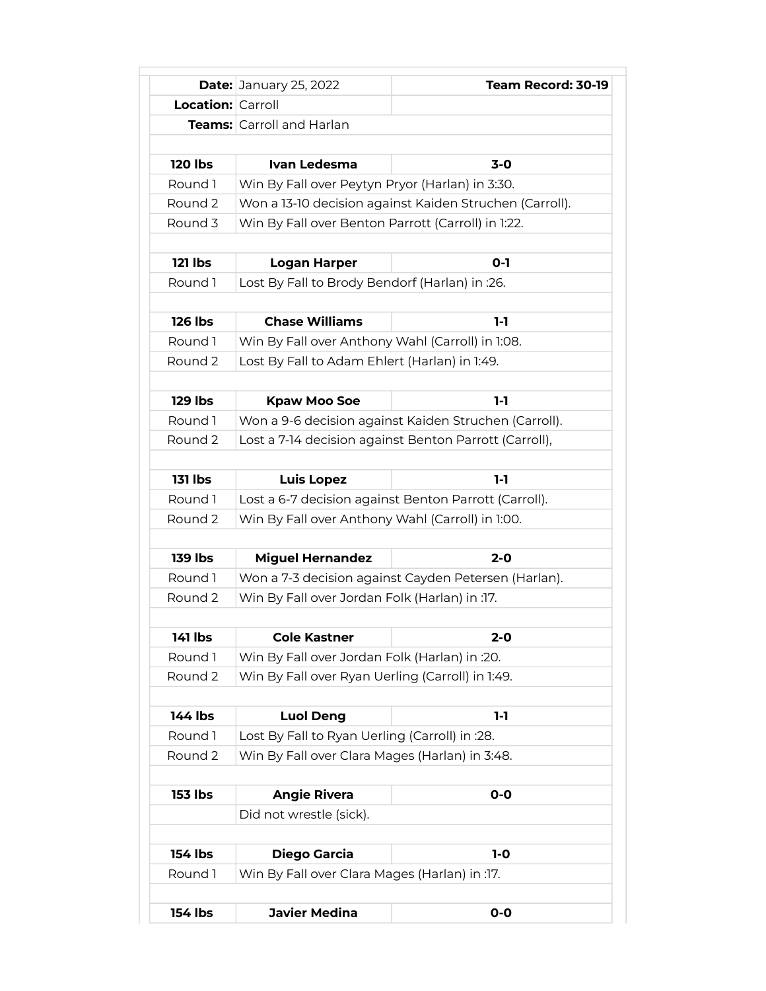|                          | <b>Date: January 25, 2022</b>                         | Team Record: 30-19                                      |
|--------------------------|-------------------------------------------------------|---------------------------------------------------------|
| <b>Location: Carroll</b> |                                                       |                                                         |
|                          | <b>Teams:</b> Carroll and Harlan                      |                                                         |
|                          |                                                       |                                                         |
| <b>120 lbs</b>           | Ivan Ledesma                                          | $3-0$                                                   |
| Round 1                  | Win By Fall over Peytyn Pryor (Harlan) in 3:30.       |                                                         |
| Round 2                  |                                                       | Won a 13-10 decision against Kaiden Struchen (Carroll). |
| Round 3                  | Win By Fall over Benton Parrott (Carroll) in 1:22.    |                                                         |
| <b>121 lbs</b>           | $0 - 1$<br><b>Logan Harper</b>                        |                                                         |
| Round 1                  | Lost By Fall to Brody Bendorf (Harlan) in :26.        |                                                         |
|                          |                                                       |                                                         |
| <b>126 lbs</b>           | <b>Chase Williams</b>                                 | $1-1$                                                   |
| Round 1                  | Win By Fall over Anthony Wahl (Carroll) in 1:08.      |                                                         |
| Round 2                  | Lost By Fall to Adam Ehlert (Harlan) in 1:49.         |                                                         |
|                          |                                                       |                                                         |
| <b>129 lbs</b>           | <b>Kpaw Moo Soe</b>                                   | $1-1$                                                   |
| Round 1                  | Won a 9-6 decision against Kaiden Struchen (Carroll). |                                                         |
| Round 2                  |                                                       | Lost a 7-14 decision against Benton Parrott (Carroll),  |
|                          |                                                       |                                                         |
| <b>131 lbs</b>           | <b>Luis Lopez</b>                                     | 1-1                                                     |
| Round 1                  |                                                       | Lost a 6-7 decision against Benton Parrott (Carroll).   |
| Round 2                  | Win By Fall over Anthony Wahl (Carroll) in 1:00.      |                                                         |
|                          |                                                       |                                                         |
| <b>139 lbs</b>           | <b>Miguel Hernandez</b>                               | $2 - 0$                                                 |
| Round 1                  | Won a 7-3 decision against Cayden Petersen (Harlan).  |                                                         |
| Round 2                  | Win By Fall over Jordan Folk (Harlan) in :17.         |                                                         |
|                          |                                                       |                                                         |
| 141 lbs                  | <b>Cole Kastner</b>                                   | 2-0                                                     |
| Round 1                  | Win By Fall over Jordan Folk (Harlan) in :20.         |                                                         |
| Round 2                  | Win By Fall over Ryan Uerling (Carroll) in 1:49.      |                                                         |
| 144 lbs                  | <b>Luol Deng</b>                                      | $1-1$                                                   |
| Round 1                  | Lost By Fall to Ryan Uerling (Carroll) in :28.        |                                                         |
| Round 2                  | Win By Fall over Clara Mages (Harlan) in 3:48.        |                                                         |
|                          |                                                       |                                                         |
| <b>153 lbs</b>           | <b>Angie Rivera</b>                                   | $0-0$                                                   |
|                          | Did not wrestle (sick).                               |                                                         |
|                          |                                                       |                                                         |
| <b>154 lbs</b>           | Diego Garcia                                          | $1-0$                                                   |
| Round 1                  | Win By Fall over Clara Mages (Harlan) in :17.         |                                                         |
| 154 lbs                  | <b>Javier Medina</b>                                  | $0-0$                                                   |
|                          |                                                       |                                                         |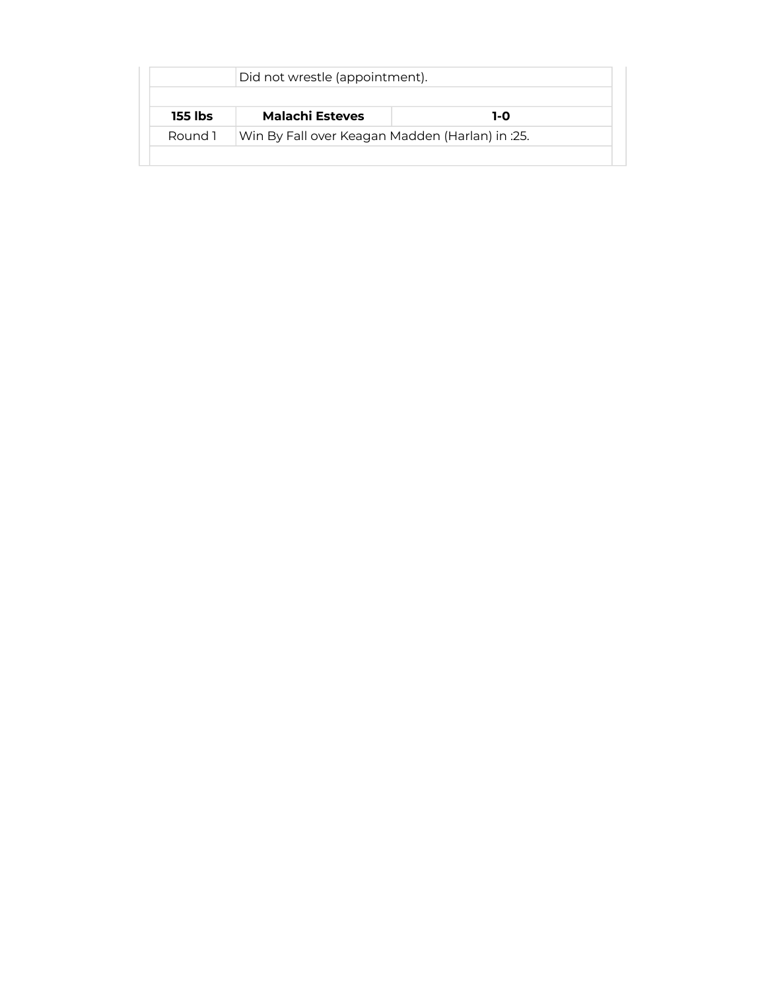| <b>Malachi Esteves</b><br>155 lbs | 1-0                                             |  |
|-----------------------------------|-------------------------------------------------|--|
| Round 1                           | Win By Fall over Keagan Madden (Harlan) in :25. |  |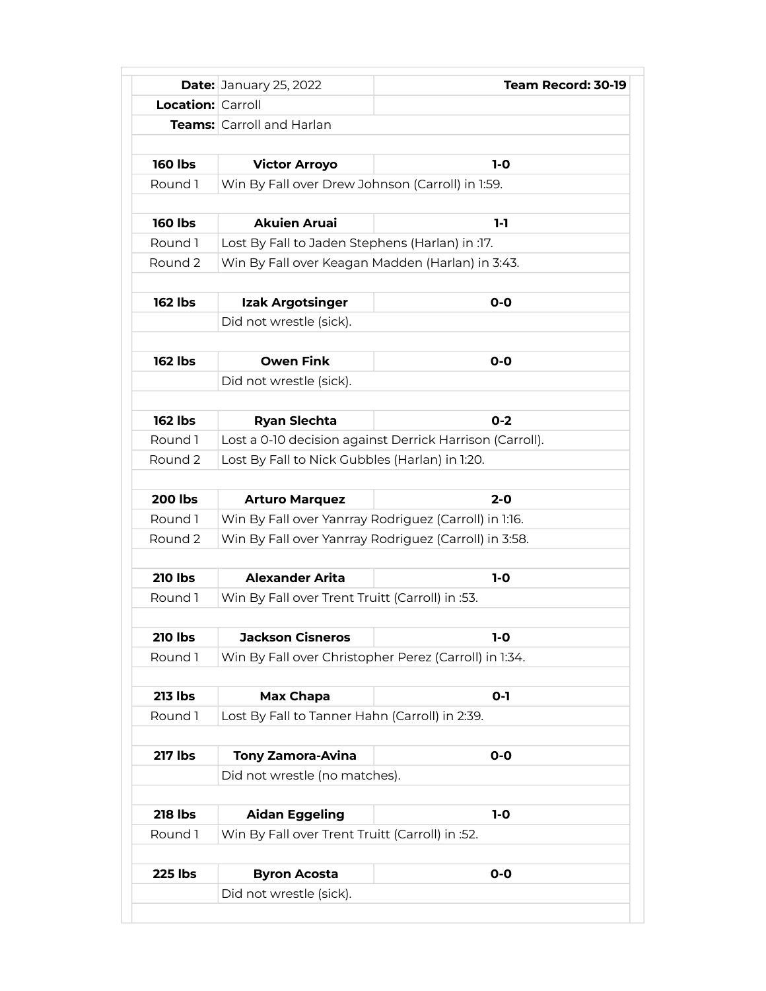|                          | <b>Date: January 25, 2022</b>                    | Team Record: 30-19                                       |
|--------------------------|--------------------------------------------------|----------------------------------------------------------|
| <b>Location: Carroll</b> |                                                  |                                                          |
|                          | <b>Teams:</b> Carroll and Harlan                 |                                                          |
|                          |                                                  |                                                          |
| <b>160 lbs</b>           | <b>Victor Arroyo</b>                             | $1-0$                                                    |
| Round 1                  | Win By Fall over Drew Johnson (Carroll) in 1:59. |                                                          |
|                          |                                                  |                                                          |
| <b>160 lbs</b>           | <b>Akuien Aruai</b>                              | $1-1$                                                    |
| Round 1                  | Lost By Fall to Jaden Stephens (Harlan) in :17.  |                                                          |
| Round 2                  | Win By Fall over Keagan Madden (Harlan) in 3:43. |                                                          |
|                          |                                                  |                                                          |
| <b>162 lbs</b>           | Izak Argotsinger                                 | $O-O$                                                    |
|                          | Did not wrestle (sick).                          |                                                          |
|                          |                                                  |                                                          |
| <b>162 lbs</b>           | <b>Owen Fink</b>                                 | $O-O$                                                    |
|                          | Did not wrestle (sick).                          |                                                          |
|                          |                                                  |                                                          |
| <b>162 lbs</b>           | <b>Ryan Slechta</b>                              | $0 - 2$                                                  |
| Round 1                  |                                                  | Lost a 0-10 decision against Derrick Harrison (Carroll). |
| Round 2                  | Lost By Fall to Nick Gubbles (Harlan) in 1:20.   |                                                          |
|                          |                                                  |                                                          |
| <b>200 lbs</b>           | <b>Arturo Marquez</b>                            | $2 - 0$                                                  |
| Round 1                  |                                                  | Win By Fall over Yanrray Rodriguez (Carroll) in 1:16.    |
| Round 2                  |                                                  | Win By Fall over Yanrray Rodriguez (Carroll) in 3:58.    |
|                          |                                                  |                                                          |
| <b>210 lbs</b>           | <b>Alexander Arita</b>                           | $1-0$                                                    |
| Round 1                  | Win By Fall over Trent Truitt (Carroll) in :53.  |                                                          |
|                          |                                                  |                                                          |
| <b>210 lbs</b>           | <b>Jackson Cisneros</b>                          | 1-0                                                      |
| Round 1                  |                                                  | Win By Fall over Christopher Perez (Carroll) in 1:34.    |
|                          |                                                  |                                                          |
| <b>213 lbs</b>           | Max Chapa                                        | $0-1$                                                    |
| Round 1                  | Lost By Fall to Tanner Hahn (Carroll) in 2:39.   |                                                          |
|                          |                                                  |                                                          |
| <b>217 lbs</b>           | <b>Tony Zamora-Avina</b>                         | $0-0$                                                    |
|                          | Did not wrestle (no matches).                    |                                                          |
|                          |                                                  |                                                          |
| <b>218 lbs</b>           | <b>Aidan Eggeling</b>                            | $1-0$                                                    |
| Round 1                  | Win By Fall over Trent Truitt (Carroll) in :52.  |                                                          |
|                          |                                                  |                                                          |
|                          |                                                  |                                                          |
| <b>225 lbs</b>           | <b>Byron Acosta</b>                              | $O-O$                                                    |